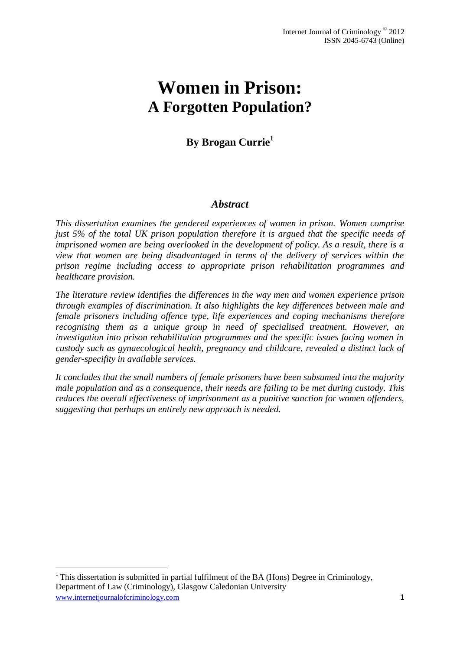# **Women in Prison: A Forgotten Population?**

# **By Brogan Currie<sup>1</sup>**

#### *Abstract*

*This dissertation examines the gendered experiences of women in prison. Women comprise just 5% of the total UK prison population therefore it is argued that the specific needs of imprisoned women are being overlooked in the development of policy. As a result, there is a view that women are being disadvantaged in terms of the delivery of services within the prison regime including access to appropriate prison rehabilitation programmes and healthcare provision.*

*The literature review identifies the differences in the way men and women experience prison through examples of discrimination. It also highlights the key differences between male and female prisoners including offence type, life experiences and coping mechanisms therefore recognising them as a unique group in need of specialised treatment. However, an investigation into prison rehabilitation programmes and the specific issues facing women in custody such as gynaecological health, pregnancy and childcare, revealed a distinct lack of gender-specifity in available services.* 

*It concludes that the small numbers of female prisoners have been subsumed into the majority male population and as a consequence, their needs are failing to be met during custody. This reduces the overall effectiveness of imprisonment as a punitive sanction for women offenders, suggesting that perhaps an entirely new approach is needed.*

.

www.internetjournalofcriminology.com 1 <sup>1</sup> This dissertation is submitted in partial fulfilment of the BA (Hons) Degree in Criminology, Department of Law (Criminology), Glasgow Caledonian University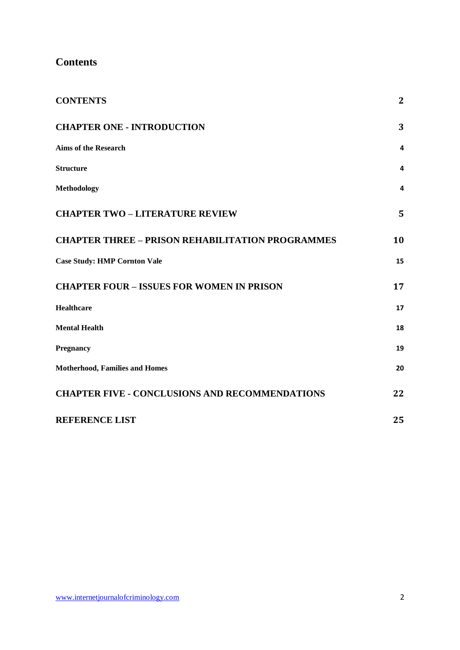# <span id="page-1-0"></span>**Contents**

| <b>CONTENTS</b>                                         | $\overline{2}$ |
|---------------------------------------------------------|----------------|
| <b>CHAPTER ONE - INTRODUCTION</b>                       | 3              |
| <b>Aims of the Research</b>                             | 4              |
| <b>Structure</b>                                        | 4              |
| <b>Methodology</b>                                      | 4              |
| <b>CHAPTER TWO - LITERATURE REVIEW</b>                  | 5              |
| <b>CHAPTER THREE - PRISON REHABILITATION PROGRAMMES</b> | 10             |
| <b>Case Study: HMP Cornton Vale</b>                     | 15             |
| <b>CHAPTER FOUR - ISSUES FOR WOMEN IN PRISON</b>        | 17             |
| <b>Healthcare</b>                                       | 17             |
| <b>Mental Health</b>                                    | 18             |
| Pregnancy                                               | 19             |
| <b>Motherhood, Families and Homes</b>                   | 20             |
| <b>CHAPTER FIVE - CONCLUSIONS AND RECOMMENDATIONS</b>   | 22             |
| <b>REFERENCE LIST</b>                                   | 25             |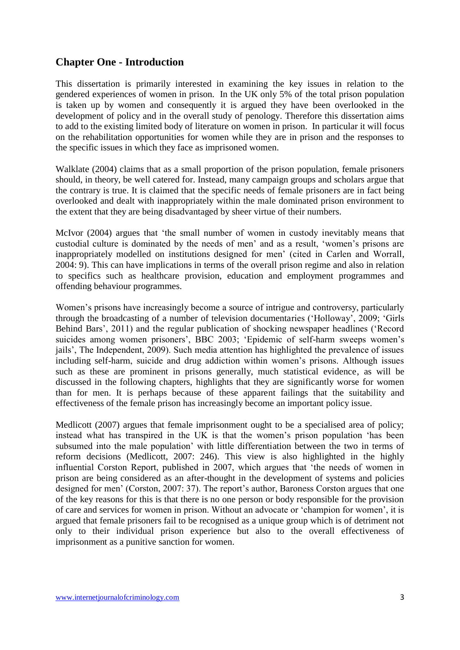## <span id="page-2-0"></span>**Chapter One - Introduction**

This dissertation is primarily interested in examining the key issues in relation to the gendered experiences of women in prison. In the UK only 5% of the total prison population is taken up by women and consequently it is argued they have been overlooked in the development of policy and in the overall study of penology. Therefore this dissertation aims to add to the existing limited body of literature on women in prison. In particular it will focus on the rehabilitation opportunities for women while they are in prison and the responses to the specific issues in which they face as imprisoned women.

Walklate (2004) claims that as a small proportion of the prison population, female prisoners should, in theory, be well catered for. Instead, many campaign groups and scholars argue that the contrary is true. It is claimed that the specific needs of female prisoners are in fact being overlooked and dealt with inappropriately within the male dominated prison environment to the extent that they are being disadvantaged by sheer virtue of their numbers.

McIvor (2004) argues that 'the small number of women in custody inevitably means that custodial culture is dominated by the needs of men' and as a result, 'women's prisons are inappropriately modelled on institutions designed for men' (cited in Carlen and Worrall, 2004: 9). This can have implications in terms of the overall prison regime and also in relation to specifics such as healthcare provision, education and employment programmes and offending behaviour programmes.

Women's prisons have increasingly become a source of intrigue and controversy, particularly through the broadcasting of a number of television documentaries ('Holloway', 2009; 'Girls Behind Bars', 2011) and the regular publication of shocking newspaper headlines ('Record suicides among women prisoners', BBC 2003; 'Epidemic of self-harm sweeps women's jails', The Independent, 2009). Such media attention has highlighted the prevalence of issues including self-harm, suicide and drug addiction within women's prisons. Although issues such as these are prominent in prisons generally, much statistical evidence, as will be discussed in the following chapters, highlights that they are significantly worse for women than for men. It is perhaps because of these apparent failings that the suitability and effectiveness of the female prison has increasingly become an important policy issue.

Medlicott (2007) argues that female imprisonment ought to be a specialised area of policy; instead what has transpired in the UK is that the women's prison population 'has been subsumed into the male population' with little differentiation between the two in terms of reform decisions (Medlicott, 2007: 246). This view is also highlighted in the highly influential Corston Report, published in 2007, which argues that 'the needs of women in prison are being considered as an after-thought in the development of systems and policies designed for men' (Corston, 2007: 37). The report's author, Baroness Corston argues that one of the key reasons for this is that there is no one person or body responsible for the provision of care and services for women in prison. Without an advocate or 'champion for women', it is argued that female prisoners fail to be recognised as a unique group which is of detriment not only to their individual prison experience but also to the overall effectiveness of imprisonment as a punitive sanction for women.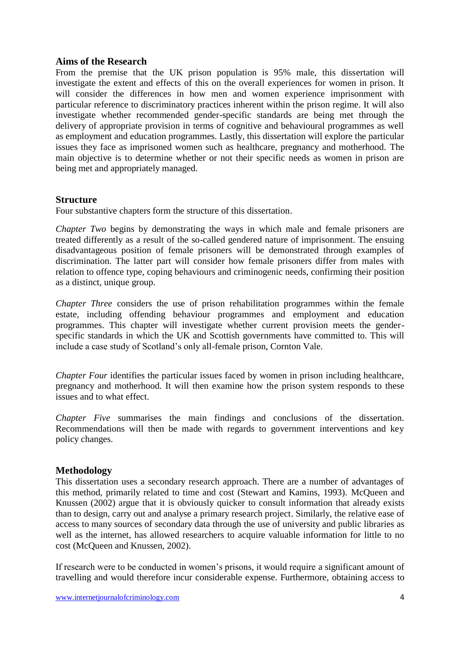#### <span id="page-3-0"></span>**Aims of the Research**

From the premise that the UK prison population is 95% male, this dissertation will investigate the extent and effects of this on the overall experiences for women in prison. It will consider the differences in how men and women experience imprisonment with particular reference to discriminatory practices inherent within the prison regime. It will also investigate whether recommended gender-specific standards are being met through the delivery of appropriate provision in terms of cognitive and behavioural programmes as well as employment and education programmes. Lastly, this dissertation will explore the particular issues they face as imprisoned women such as healthcare, pregnancy and motherhood. The main objective is to determine whether or not their specific needs as women in prison are being met and appropriately managed.

#### <span id="page-3-1"></span>**Structure**

Four substantive chapters form the structure of this dissertation.

*Chapter Two* begins by demonstrating the ways in which male and female prisoners are treated differently as a result of the so-called gendered nature of imprisonment. The ensuing disadvantageous position of female prisoners will be demonstrated through examples of discrimination. The latter part will consider how female prisoners differ from males with relation to offence type, coping behaviours and criminogenic needs, confirming their position as a distinct, unique group.

*Chapter Three* considers the use of prison rehabilitation programmes within the female estate, including offending behaviour programmes and employment and education programmes. This chapter will investigate whether current provision meets the genderspecific standards in which the UK and Scottish governments have committed to. This will include a case study of Scotland's only all-female prison, Cornton Vale.

*Chapter Four* identifies the particular issues faced by women in prison including healthcare, pregnancy and motherhood. It will then examine how the prison system responds to these issues and to what effect.

*Chapter Five* summarises the main findings and conclusions of the dissertation. Recommendations will then be made with regards to government interventions and key policy changes.

#### <span id="page-3-2"></span>**Methodology**

This dissertation uses a secondary research approach. There are a number of advantages of this method, primarily related to time and cost (Stewart and Kamins, 1993). McQueen and Knussen (2002) argue that it is obviously quicker to consult information that already exists than to design, carry out and analyse a primary research project. Similarly, the relative ease of access to many sources of secondary data through the use of university and public libraries as well as the internet, has allowed researchers to acquire valuable information for little to no cost (McQueen and Knussen, 2002).

If research were to be conducted in women's prisons, it would require a significant amount of travelling and would therefore incur considerable expense. Furthermore, obtaining access to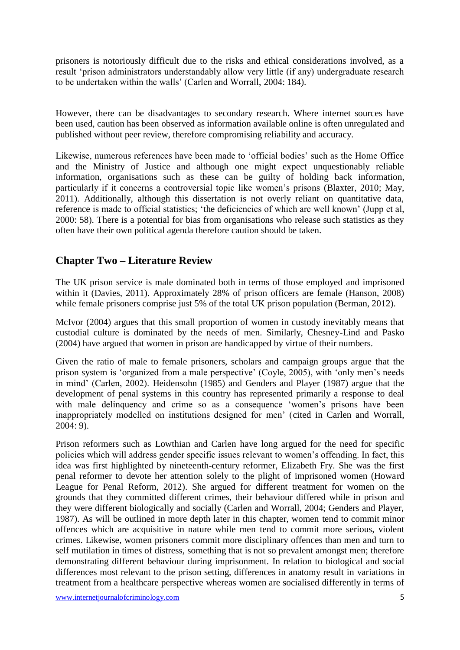prisoners is notoriously difficult due to the risks and ethical considerations involved, as a result 'prison administrators understandably allow very little (if any) undergraduate research to be undertaken within the walls' (Carlen and Worrall, 2004: 184).

However, there can be disadvantages to secondary research. Where internet sources have been used, caution has been observed as information available online is often unregulated and published without peer review, therefore compromising reliability and accuracy.

Likewise, numerous references have been made to 'official bodies' such as the Home Office and the Ministry of Justice and although one might expect unquestionably reliable information, organisations such as these can be guilty of holding back information, particularly if it concerns a controversial topic like women's prisons (Blaxter, 2010; May, 2011). Additionally, although this dissertation is not overly reliant on quantitative data, reference is made to official statistics; 'the deficiencies of which are well known' (Jupp et al, 2000: 58). There is a potential for bias from organisations who release such statistics as they often have their own political agenda therefore caution should be taken.

# <span id="page-4-0"></span>**Chapter Two – Literature Review**

The UK prison service is male dominated both in terms of those employed and imprisoned within it (Davies, 2011). Approximately 28% of prison officers are female (Hanson, 2008) while female prisoners comprise just 5% of the total UK prison population (Berman, 2012).

McIvor (2004) argues that this small proportion of women in custody inevitably means that custodial culture is dominated by the needs of men. Similarly, Chesney-Lind and Pasko (2004) have argued that women in prison are handicapped by virtue of their numbers.

Given the ratio of male to female prisoners, scholars and campaign groups argue that the prison system is 'organized from a male perspective' (Coyle, 2005), with 'only men's needs in mind' (Carlen, 2002). Heidensohn (1985) and Genders and Player (1987) argue that the development of penal systems in this country has represented primarily a response to deal with male delinquency and crime so as a consequence 'women's prisons have been inappropriately modelled on institutions designed for men' (cited in Carlen and Worrall, 2004: 9).

Prison reformers such as Lowthian and Carlen have long argued for the need for specific policies which will address gender specific issues relevant to women's offending. In fact, this idea was first highlighted by nineteenth-century reformer, Elizabeth Fry. She was the first penal reformer to devote her attention solely to the plight of imprisoned women (Howard League for Penal Reform, 2012). She argued for different treatment for women on the grounds that they committed different crimes, their behaviour differed while in prison and they were different biologically and socially (Carlen and Worrall, 2004; Genders and Player, 1987). As will be outlined in more depth later in this chapter, women tend to commit minor offences which are acquisitive in nature while men tend to commit more serious, violent crimes. Likewise, women prisoners commit more disciplinary offences than men and turn to self mutilation in times of distress, something that is not so prevalent amongst men; therefore demonstrating different behaviour during imprisonment. In relation to biological and social differences most relevant to the prison setting, differences in anatomy result in variations in treatment from a healthcare perspective whereas women are socialised differently in terms of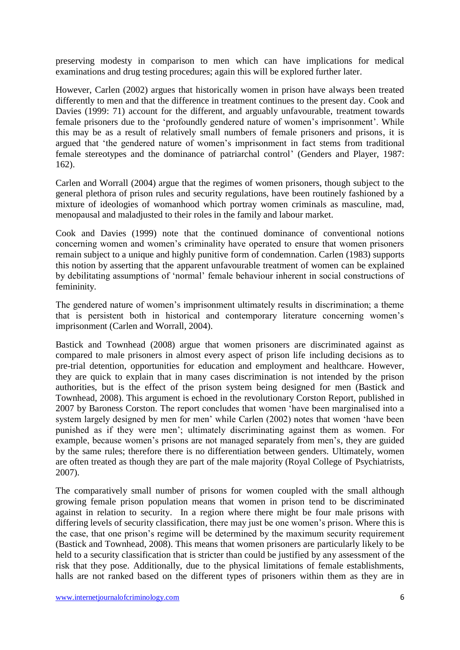preserving modesty in comparison to men which can have implications for medical examinations and drug testing procedures; again this will be explored further later.

However, Carlen (2002) argues that historically women in prison have always been treated differently to men and that the difference in treatment continues to the present day. Cook and Davies (1999: 71) account for the different, and arguably unfavourable, treatment towards female prisoners due to the 'profoundly gendered nature of women's imprisonment'. While this may be as a result of relatively small numbers of female prisoners and prisons, it is argued that 'the gendered nature of women's imprisonment in fact stems from traditional female stereotypes and the dominance of patriarchal control' (Genders and Player, 1987: 162).

Carlen and Worrall (2004) argue that the regimes of women prisoners, though subject to the general plethora of prison rules and security regulations, have been routinely fashioned by a mixture of ideologies of womanhood which portray women criminals as masculine, mad, menopausal and maladjusted to their roles in the family and labour market.

Cook and Davies (1999) note that the continued dominance of conventional notions concerning women and women's criminality have operated to ensure that women prisoners remain subject to a unique and highly punitive form of condemnation. Carlen (1983) supports this notion by asserting that the apparent unfavourable treatment of women can be explained by debilitating assumptions of 'normal' female behaviour inherent in social constructions of femininity.

The gendered nature of women's imprisonment ultimately results in discrimination; a theme that is persistent both in historical and contemporary literature concerning women's imprisonment (Carlen and Worrall, 2004).

Bastick and Townhead (2008) argue that women prisoners are discriminated against as compared to male prisoners in almost every aspect of prison life including decisions as to pre-trial detention, opportunities for education and employment and healthcare. However, they are quick to explain that in many cases discrimination is not intended by the prison authorities, but is the effect of the prison system being designed for men (Bastick and Townhead, 2008). This argument is echoed in the revolutionary Corston Report, published in 2007 by Baroness Corston. The report concludes that women 'have been marginalised into a system largely designed by men for men' while Carlen (2002) notes that women 'have been punished as if they were men'; ultimately discriminating against them as women. For example, because women's prisons are not managed separately from men's, they are guided by the same rules; therefore there is no differentiation between genders. Ultimately, women are often treated as though they are part of the male majority (Royal College of Psychiatrists, 2007).

The comparatively small number of prisons for women coupled with the small although growing female prison population means that women in prison tend to be discriminated against in relation to security. In a region where there might be four male prisons with differing levels of security classification, there may just be one women's prison. Where this is the case, that one prison's regime will be determined by the maximum security requirement (Bastick and Townhead, 2008). This means that women prisoners are particularly likely to be held to a security classification that is stricter than could be justified by any assessment of the risk that they pose. Additionally, due to the physical limitations of female establishments, halls are not ranked based on the different types of prisoners within them as they are in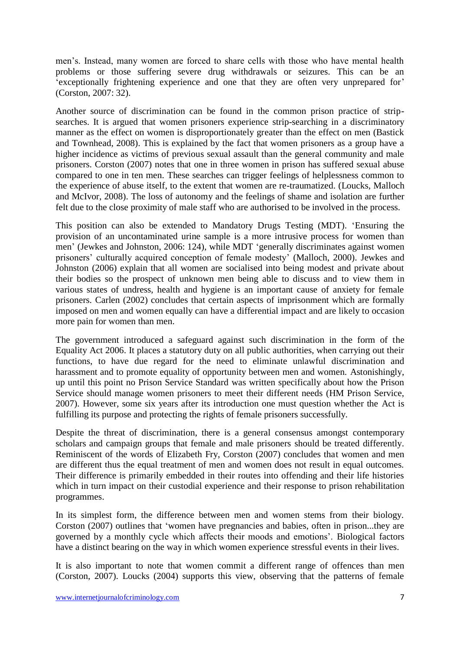men's. Instead, many women are forced to share cells with those who have mental health problems or those suffering severe drug withdrawals or seizures. This can be an 'exceptionally frightening experience and one that they are often very unprepared for' (Corston, 2007: 32).

Another source of discrimination can be found in the common prison practice of stripsearches. It is argued that women prisoners experience strip-searching in a discriminatory manner as the effect on women is disproportionately greater than the effect on men (Bastick and Townhead, 2008). This is explained by the fact that women prisoners as a group have a higher incidence as victims of previous sexual assault than the general community and male prisoners. Corston (2007) notes that one in three women in prison has suffered sexual abuse compared to one in ten men. These searches can trigger feelings of helplessness common to the experience of abuse itself, to the extent that women are re-traumatized. (Loucks, Malloch and McIvor, 2008). The loss of autonomy and the feelings of shame and isolation are further felt due to the close proximity of male staff who are authorised to be involved in the process.

This position can also be extended to Mandatory Drugs Testing (MDT). 'Ensuring the provision of an uncontaminated urine sample is a more intrusive process for women than men' (Jewkes and Johnston, 2006: 124), while MDT 'generally discriminates against women prisoners' culturally acquired conception of female modesty' (Malloch, 2000). Jewkes and Johnston (2006) explain that all women are socialised into being modest and private about their bodies so the prospect of unknown men being able to discuss and to view them in various states of undress, health and hygiene is an important cause of anxiety for female prisoners. Carlen (2002) concludes that certain aspects of imprisonment which are formally imposed on men and women equally can have a differential impact and are likely to occasion more pain for women than men.

The government introduced a safeguard against such discrimination in the form of the Equality Act 2006. It places a statutory duty on all public authorities, when carrying out their functions, to have due regard for the need to eliminate unlawful discrimination and harassment and to promote equality of opportunity between men and women. Astonishingly, up until this point no Prison Service Standard was written specifically about how the Prison Service should manage women prisoners to meet their different needs (HM Prison Service, 2007). However, some six years after its introduction one must question whether the Act is fulfilling its purpose and protecting the rights of female prisoners successfully.

Despite the threat of discrimination, there is a general consensus amongst contemporary scholars and campaign groups that female and male prisoners should be treated differently. Reminiscent of the words of Elizabeth Fry, Corston (2007) concludes that women and men are different thus the equal treatment of men and women does not result in equal outcomes. Their difference is primarily embedded in their routes into offending and their life histories which in turn impact on their custodial experience and their response to prison rehabilitation programmes.

In its simplest form, the difference between men and women stems from their biology. Corston (2007) outlines that 'women have pregnancies and babies, often in prison...they are governed by a monthly cycle which affects their moods and emotions'. Biological factors have a distinct bearing on the way in which women experience stressful events in their lives.

It is also important to note that women commit a different range of offences than men (Corston, 2007). Loucks (2004) supports this view, observing that the patterns of female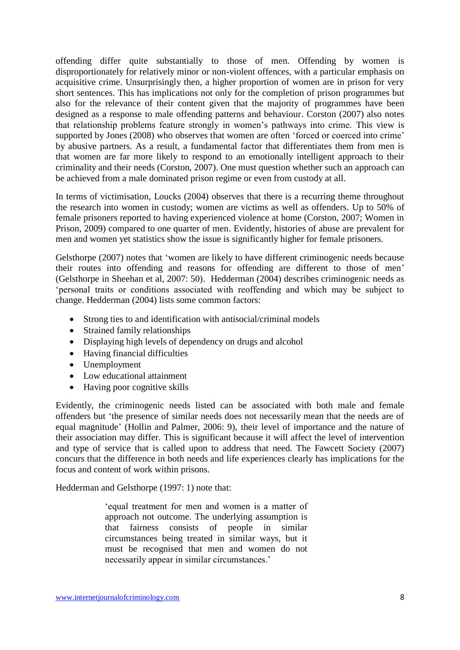offending differ quite substantially to those of men. Offending by women is disproportionately for relatively minor or non-violent offences, with a particular emphasis on acquisitive crime. Unsurprisingly then, a higher proportion of women are in prison for very short sentences. This has implications not only for the completion of prison programmes but also for the relevance of their content given that the majority of programmes have been designed as a response to male offending patterns and behaviour. Corston (2007) also notes that relationship problems feature strongly in women's pathways into crime. This view is supported by Jones (2008) who observes that women are often 'forced or coerced into crime' by abusive partners. As a result, a fundamental factor that differentiates them from men is that women are far more likely to respond to an emotionally intelligent approach to their criminality and their needs (Corston, 2007). One must question whether such an approach can be achieved from a male dominated prison regime or even from custody at all.

In terms of victimisation, Loucks (2004) observes that there is a recurring theme throughout the research into women in custody; women are victims as well as offenders. Up to 50% of female prisoners reported to having experienced violence at home (Corston, 2007; Women in Prison, 2009) compared to one quarter of men. Evidently, histories of abuse are prevalent for men and women yet statistics show the issue is significantly higher for female prisoners.

Gelsthorpe (2007) notes that 'women are likely to have different criminogenic needs because their routes into offending and reasons for offending are different to those of men' (Gelsthorpe in Sheehan et al, 2007: 50). Hedderman (2004) describes criminogenic needs as 'personal traits or conditions associated with reoffending and which may be subject to change. Hedderman (2004) lists some common factors:

- Strong ties to and identification with antisocial/criminal models
- Strained family relationships
- Displaying high levels of dependency on drugs and alcohol
- Having financial difficulties
- Unemployment
- Low educational attainment
- Having poor cognitive skills

Evidently, the criminogenic needs listed can be associated with both male and female offenders but 'the presence of similar needs does not necessarily mean that the needs are of equal magnitude' (Hollin and Palmer, 2006: 9), their level of importance and the nature of their association may differ. This is significant because it will affect the level of intervention and type of service that is called upon to address that need. The Fawcett Society (2007) concurs that the difference in both needs and life experiences clearly has implications for the focus and content of work within prisons.

Hedderman and Gelsthorpe (1997: 1) note that:

'equal treatment for men and women is a matter of approach not outcome. The underlying assumption is that fairness consists of people in similar circumstances being treated in similar ways, but it must be recognised that men and women do not necessarily appear in similar circumstances.'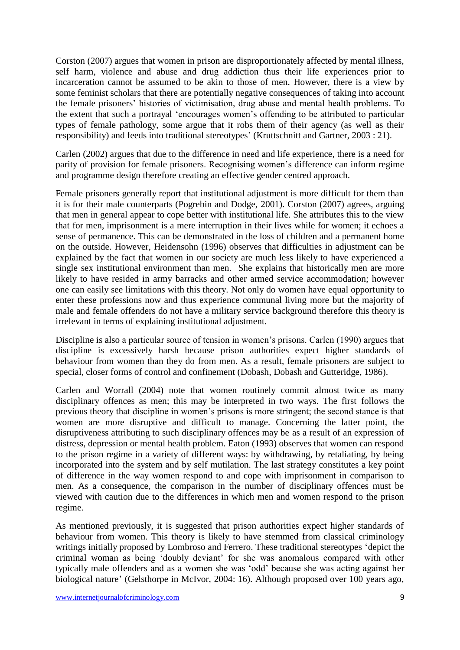Corston (2007) argues that women in prison are disproportionately affected by mental illness, self harm, violence and abuse and drug addiction thus their life experiences prior to incarceration cannot be assumed to be akin to those of men. However, there is a view by some feminist scholars that there are potentially negative consequences of taking into account the female prisoners' histories of victimisation, drug abuse and mental health problems. To the extent that such a portrayal 'encourages women's offending to be attributed to particular types of female pathology, some argue that it robs them of their agency (as well as their responsibility) and feeds into traditional stereotypes' (Kruttschnitt and Gartner, 2003 : 21).

Carlen (2002) argues that due to the difference in need and life experience, there is a need for parity of provision for female prisoners. Recognising women's difference can inform regime and programme design therefore creating an effective gender centred approach.

Female prisoners generally report that institutional adjustment is more difficult for them than it is for their male counterparts (Pogrebin and Dodge, 2001). Corston (2007) agrees, arguing that men in general appear to cope better with institutional life. She attributes this to the view that for men, imprisonment is a mere interruption in their lives while for women; it echoes a sense of permanence. This can be demonstrated in the loss of children and a permanent home on the outside. However, Heidensohn (1996) observes that difficulties in adjustment can be explained by the fact that women in our society are much less likely to have experienced a single sex institutional environment than men. She explains that historically men are more likely to have resided in army barracks and other armed service accommodation; however one can easily see limitations with this theory. Not only do women have equal opportunity to enter these professions now and thus experience communal living more but the majority of male and female offenders do not have a military service background therefore this theory is irrelevant in terms of explaining institutional adjustment.

Discipline is also a particular source of tension in women's prisons. Carlen (1990) argues that discipline is excessively harsh because prison authorities expect higher standards of behaviour from women than they do from men. As a result, female prisoners are subject to special, closer forms of control and confinement (Dobash, Dobash and Gutteridge, 1986).

Carlen and Worrall (2004) note that women routinely commit almost twice as many disciplinary offences as men; this may be interpreted in two ways. The first follows the previous theory that discipline in women's prisons is more stringent; the second stance is that women are more disruptive and difficult to manage. Concerning the latter point, the disruptiveness attributing to such disciplinary offences may be as a result of an expression of distress, depression or mental health problem. Eaton (1993) observes that women can respond to the prison regime in a variety of different ways: by withdrawing, by retaliating, by being incorporated into the system and by self mutilation. The last strategy constitutes a key point of difference in the way women respond to and cope with imprisonment in comparison to men. As a consequence, the comparison in the number of disciplinary offences must be viewed with caution due to the differences in which men and women respond to the prison regime.

As mentioned previously, it is suggested that prison authorities expect higher standards of behaviour from women. This theory is likely to have stemmed from classical criminology writings initially proposed by Lombroso and Ferrero. These traditional stereotypes 'depict the criminal woman as being 'doubly deviant' for she was anomalous compared with other typically male offenders and as a women she was 'odd' because she was acting against her biological nature' (Gelsthorpe in McIvor, 2004: 16). Although proposed over 100 years ago,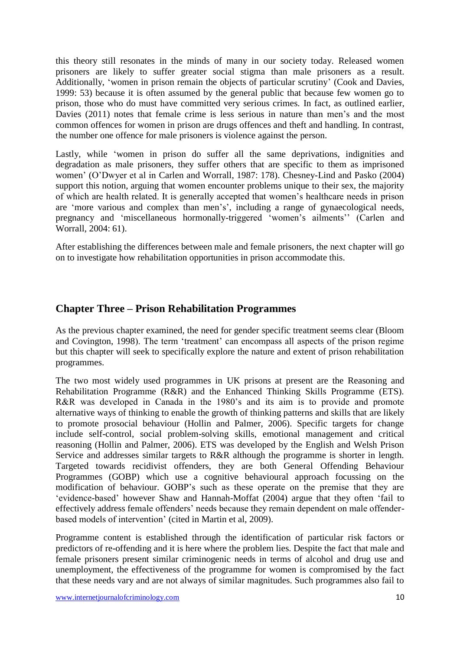this theory still resonates in the minds of many in our society today. Released women prisoners are likely to suffer greater social stigma than male prisoners as a result. Additionally, 'women in prison remain the objects of particular scrutiny' (Cook and Davies, 1999: 53) because it is often assumed by the general public that because few women go to prison, those who do must have committed very serious crimes. In fact, as outlined earlier, Davies (2011) notes that female crime is less serious in nature than men's and the most common offences for women in prison are drugs offences and theft and handling. In contrast, the number one offence for male prisoners is violence against the person.

Lastly, while 'women in prison do suffer all the same deprivations, indignities and degradation as male prisoners, they suffer others that are specific to them as imprisoned women' (O'Dwyer et al in Carlen and Worrall, 1987: 178). Chesney-Lind and Pasko (2004) support this notion, arguing that women encounter problems unique to their sex, the majority of which are health related. It is generally accepted that women's healthcare needs in prison are 'more various and complex than men's', including a range of gynaecological needs, pregnancy and 'miscellaneous hormonally-triggered 'women's ailments'' (Carlen and Worrall, 2004: 61).

After establishing the differences between male and female prisoners, the next chapter will go on to investigate how rehabilitation opportunities in prison accommodate this.

#### <span id="page-9-0"></span>**Chapter Three – Prison Rehabilitation Programmes**

As the previous chapter examined, the need for gender specific treatment seems clear (Bloom and Covington, 1998). The term 'treatment' can encompass all aspects of the prison regime but this chapter will seek to specifically explore the nature and extent of prison rehabilitation programmes.

The two most widely used programmes in UK prisons at present are the Reasoning and Rehabilitation Programme (R&R) and the Enhanced Thinking Skills Programme (ETS). R&R was developed in Canada in the 1980's and its aim is to provide and promote alternative ways of thinking to enable the growth of thinking patterns and skills that are likely to promote prosocial behaviour (Hollin and Palmer, 2006). Specific targets for change include self-control, social problem-solving skills, emotional management and critical reasoning (Hollin and Palmer, 2006). ETS was developed by the English and Welsh Prison Service and addresses similar targets to R&R although the programme is shorter in length. Targeted towards recidivist offenders, they are both General Offending Behaviour Programmes (GOBP) which use a cognitive behavioural approach focussing on the modification of behaviour. GOBP's such as these operate on the premise that they are 'evidence-based' however Shaw and Hannah-Moffat (2004) argue that they often 'fail to effectively address female offenders' needs because they remain dependent on male offenderbased models of intervention' (cited in Martin et al, 2009).

Programme content is established through the identification of particular risk factors or predictors of re-offending and it is here where the problem lies. Despite the fact that male and female prisoners present similar criminogenic needs in terms of alcohol and drug use and unemployment, the effectiveness of the programme for women is compromised by the fact that these needs vary and are not always of similar magnitudes. Such programmes also fail to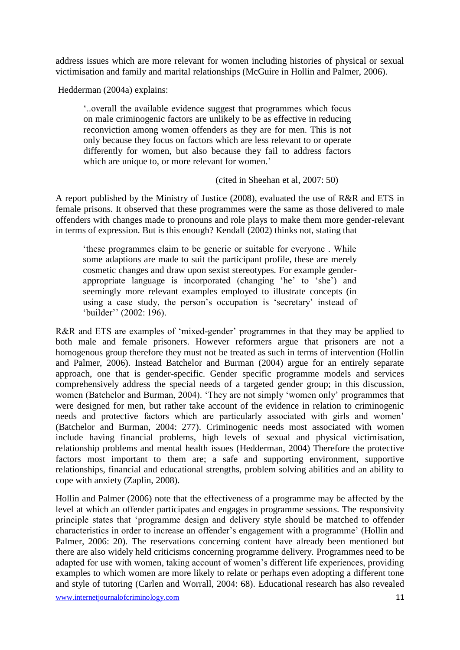address issues which are more relevant for women including histories of physical or sexual victimisation and family and marital relationships (McGuire in Hollin and Palmer, 2006).

Hedderman (2004a) explains:

'..overall the available evidence suggest that programmes which focus on male criminogenic factors are unlikely to be as effective in reducing reconviction among women offenders as they are for men. This is not only because they focus on factors which are less relevant to or operate differently for women, but also because they fail to address factors which are unique to, or more relevant for women.'

#### (cited in Sheehan et al, 2007: 50)

A report published by the Ministry of Justice (2008), evaluated the use of R&R and ETS in female prisons. It observed that these programmes were the same as those delivered to male offenders with changes made to pronouns and role plays to make them more gender-relevant in terms of expression. But is this enough? Kendall (2002) thinks not, stating that

'these programmes claim to be generic or suitable for everyone . While some adaptions are made to suit the participant profile, these are merely cosmetic changes and draw upon sexist stereotypes. For example genderappropriate language is incorporated (changing 'he' to 'she') and seemingly more relevant examples employed to illustrate concepts (in using a case study, the person's occupation is 'secretary' instead of 'builder'' (2002: 196).

R&R and ETS are examples of 'mixed-gender' programmes in that they may be applied to both male and female prisoners. However reformers argue that prisoners are not a homogenous group therefore they must not be treated as such in terms of intervention (Hollin and Palmer, 2006). Instead Batchelor and Burman (2004) argue for an entirely separate approach, one that is gender-specific. Gender specific programme models and services comprehensively address the special needs of a targeted gender group; in this discussion, women (Batchelor and Burman, 2004). 'They are not simply 'women only' programmes that were designed for men, but rather take account of the evidence in relation to criminogenic needs and protective factors which are particularly associated with girls and women' (Batchelor and Burman, 2004: 277). Criminogenic needs most associated with women include having financial problems, high levels of sexual and physical victimisation, relationship problems and mental health issues (Hedderman, 2004) Therefore the protective factors most important to them are; a safe and supporting environment, supportive relationships, financial and educational strengths, problem solving abilities and an ability to cope with anxiety (Zaplin, 2008).

Hollin and Palmer (2006) note that the effectiveness of a programme may be affected by the level at which an offender participates and engages in programme sessions. The responsivity principle states that 'programme design and delivery style should be matched to offender characteristics in order to increase an offender's engagement with a programme' (Hollin and Palmer, 2006: 20). The reservations concerning content have already been mentioned but there are also widely held criticisms concerning programme delivery. Programmes need to be adapted for use with women, taking account of women's different life experiences, providing examples to which women are more likely to relate or perhaps even adopting a different tone and style of tutoring (Carlen and Worrall, 2004: 68). Educational research has also revealed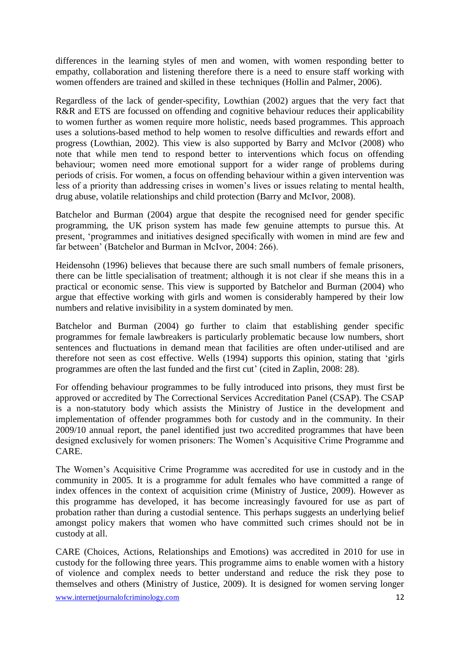differences in the learning styles of men and women, with women responding better to empathy, collaboration and listening therefore there is a need to ensure staff working with women offenders are trained and skilled in these techniques (Hollin and Palmer, 2006).

Regardless of the lack of gender-specifity, Lowthian (2002) argues that the very fact that R&R and ETS are focussed on offending and cognitive behaviour reduces their applicability to women further as women require more holistic, needs based programmes. This approach uses a solutions-based method to help women to resolve difficulties and rewards effort and progress (Lowthian, 2002). This view is also supported by Barry and McIvor (2008) who note that while men tend to respond better to interventions which focus on offending behaviour; women need more emotional support for a wider range of problems during periods of crisis. For women, a focus on offending behaviour within a given intervention was less of a priority than addressing crises in women's lives or issues relating to mental health, drug abuse, volatile relationships and child protection (Barry and McIvor, 2008).

Batchelor and Burman (2004) argue that despite the recognised need for gender specific programming, the UK prison system has made few genuine attempts to pursue this. At present, 'programmes and initiatives designed specifically with women in mind are few and far between' (Batchelor and Burman in McIvor, 2004: 266).

Heidensohn (1996) believes that because there are such small numbers of female prisoners, there can be little specialisation of treatment; although it is not clear if she means this in a practical or economic sense. This view is supported by Batchelor and Burman (2004) who argue that effective working with girls and women is considerably hampered by their low numbers and relative invisibility in a system dominated by men.

Batchelor and Burman (2004) go further to claim that establishing gender specific programmes for female lawbreakers is particularly problematic because low numbers, short sentences and fluctuations in demand mean that facilities are often under-utilised and are therefore not seen as cost effective. Wells (1994) supports this opinion, stating that 'girls programmes are often the last funded and the first cut' (cited in Zaplin, 2008: 28).

For offending behaviour programmes to be fully introduced into prisons, they must first be approved or accredited by The Correctional Services Accreditation Panel (CSAP). The CSAP is a non-statutory body which assists the Ministry of Justice in the development and implementation of offender programmes both for custody and in the community. In their 2009/10 annual report, the panel identified just two accredited programmes that have been designed exclusively for women prisoners: The Women's Acquisitive Crime Programme and CARE.

The Women's Acquisitive Crime Programme was accredited for use in custody and in the community in 2005. It is a programme for adult females who have committed a range of index offences in the context of acquisition crime (Ministry of Justice, 2009). However as this programme has developed, it has become increasingly favoured for use as part of probation rather than during a custodial sentence. This perhaps suggests an underlying belief amongst policy makers that women who have committed such crimes should not be in custody at all.

CARE (Choices, Actions, Relationships and Emotions) was accredited in 2010 for use in custody for the following three years. This programme aims to enable women with a history of violence and complex needs to better understand and reduce the risk they pose to themselves and others (Ministry of Justice, 2009). It is designed for women serving longer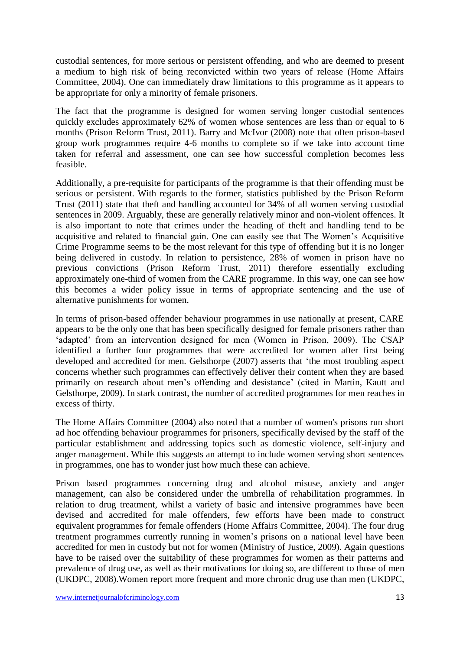custodial sentences, for more serious or persistent offending, and who are deemed to present a medium to high risk of being reconvicted within two years of release (Home Affairs Committee, 2004). One can immediately draw limitations to this programme as it appears to be appropriate for only a minority of female prisoners.

The fact that the programme is designed for women serving longer custodial sentences quickly excludes approximately 62% of women whose sentences are less than or equal to 6 months (Prison Reform Trust, 2011). Barry and McIvor (2008) note that often prison-based group work programmes require 4-6 months to complete so if we take into account time taken for referral and assessment, one can see how successful completion becomes less feasible.

Additionally, a pre-requisite for participants of the programme is that their offending must be serious or persistent. With regards to the former, statistics published by the Prison Reform Trust (2011) state that theft and handling accounted for 34% of all women serving custodial sentences in 2009. Arguably, these are generally relatively minor and non-violent offences. It is also important to note that crimes under the heading of theft and handling tend to be acquisitive and related to financial gain. One can easily see that The Women's Acquisitive Crime Programme seems to be the most relevant for this type of offending but it is no longer being delivered in custody. In relation to persistence, 28% of women in prison have no previous convictions (Prison Reform Trust, 2011) therefore essentially excluding approximately one-third of women from the CARE programme. In this way, one can see how this becomes a wider policy issue in terms of appropriate sentencing and the use of alternative punishments for women.

In terms of prison-based offender behaviour programmes in use nationally at present, CARE appears to be the only one that has been specifically designed for female prisoners rather than 'adapted' from an intervention designed for men (Women in Prison, 2009). The CSAP identified a further four programmes that were accredited for women after first being developed and accredited for men. Gelsthorpe (2007) asserts that 'the most troubling aspect concerns whether such programmes can effectively deliver their content when they are based primarily on research about men's offending and desistance' (cited in Martin, Kautt and Gelsthorpe, 2009). In stark contrast, the number of accredited programmes for men reaches in excess of thirty.

The Home Affairs Committee (2004) also noted that a number of women's prisons run short ad hoc offending behaviour programmes for prisoners, specifically devised by the staff of the particular establishment and addressing topics such as domestic violence, self-injury and anger management. While this suggests an attempt to include women serving short sentences in programmes, one has to wonder just how much these can achieve.

Prison based programmes concerning drug and alcohol misuse, anxiety and anger management, can also be considered under the umbrella of rehabilitation programmes. In relation to drug treatment, whilst a variety of basic and intensive programmes have been devised and accredited for male offenders, few efforts have been made to construct equivalent programmes for female offenders (Home Affairs Committee, 2004). The four drug treatment programmes currently running in women's prisons on a national level have been accredited for men in custody but not for women (Ministry of Justice, 2009). Again questions have to be raised over the suitability of these programmes for women as their patterns and prevalence of drug use, as well as their motivations for doing so, are different to those of men (UKDPC, 2008).Women report more frequent and more chronic drug use than men (UKDPC,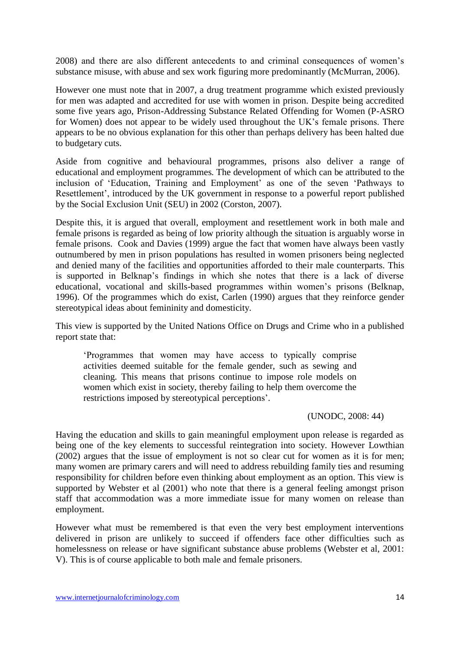2008) and there are also different antecedents to and criminal consequences of women's substance misuse, with abuse and sex work figuring more predominantly (McMurran, 2006).

However one must note that in 2007, a drug treatment programme which existed previously for men was adapted and accredited for use with women in prison. Despite being accredited some five years ago, Prison-Addressing Substance Related Offending for Women (P-ASRO for Women) does not appear to be widely used throughout the UK's female prisons. There appears to be no obvious explanation for this other than perhaps delivery has been halted due to budgetary cuts.

Aside from cognitive and behavioural programmes, prisons also deliver a range of educational and employment programmes. The development of which can be attributed to the inclusion of 'Education, Training and Employment' as one of the seven 'Pathways to Resettlement', introduced by the UK government in response to a powerful report published by the Social Exclusion Unit (SEU) in 2002 (Corston, 2007).

Despite this, it is argued that overall, employment and resettlement work in both male and female prisons is regarded as being of low priority although the situation is arguably worse in female prisons. Cook and Davies (1999) argue the fact that women have always been vastly outnumbered by men in prison populations has resulted in women prisoners being neglected and denied many of the facilities and opportunities afforded to their male counterparts. This is supported in Belknap's findings in which she notes that there is a lack of diverse educational, vocational and skills-based programmes within women's prisons (Belknap, 1996). Of the programmes which do exist, Carlen (1990) argues that they reinforce gender stereotypical ideas about femininity and domesticity.

This view is supported by the United Nations Office on Drugs and Crime who in a published report state that:

'Programmes that women may have access to typically comprise activities deemed suitable for the female gender, such as sewing and cleaning. This means that prisons continue to impose role models on women which exist in society, thereby failing to help them overcome the restrictions imposed by stereotypical perceptions'.

(UNODC, 2008: 44)

Having the education and skills to gain meaningful employment upon release is regarded as being one of the key elements to successful reintegration into society. However Lowthian (2002) argues that the issue of employment is not so clear cut for women as it is for men; many women are primary carers and will need to address rebuilding family ties and resuming responsibility for children before even thinking about employment as an option. This view is supported by Webster et al (2001) who note that there is a general feeling amongst prison staff that accommodation was a more immediate issue for many women on release than employment.

However what must be remembered is that even the very best employment interventions delivered in prison are unlikely to succeed if offenders face other difficulties such as homelessness on release or have significant substance abuse problems (Webster et al, 2001: V). This is of course applicable to both male and female prisoners.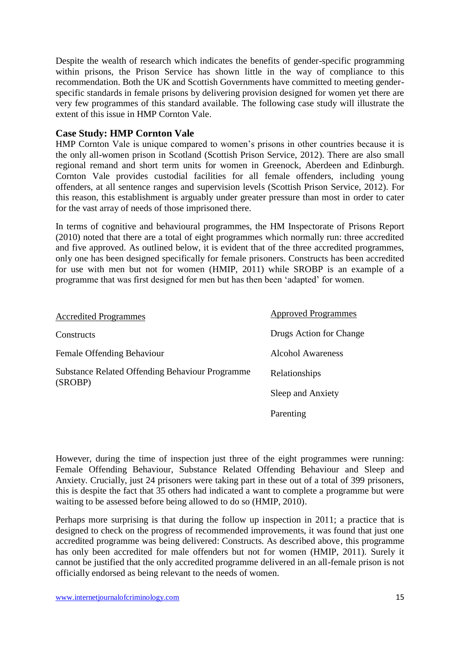Despite the wealth of research which indicates the benefits of gender-specific programming within prisons, the Prison Service has shown little in the way of compliance to this recommendation. Both the UK and Scottish Governments have committed to meeting genderspecific standards in female prisons by delivering provision designed for women yet there are very few programmes of this standard available. The following case study will illustrate the extent of this issue in HMP Cornton Vale.

#### <span id="page-14-0"></span>**Case Study: HMP Cornton Vale**

HMP Cornton Vale is unique compared to women's prisons in other countries because it is the only all-women prison in Scotland (Scottish Prison Service, 2012). There are also small regional remand and short term units for women in Greenock, Aberdeen and Edinburgh. Cornton Vale provides custodial facilities for all female offenders, including young offenders, at all sentence ranges and supervision levels (Scottish Prison Service, 2012). For this reason, this establishment is arguably under greater pressure than most in order to cater for the vast array of needs of those imprisoned there.

In terms of cognitive and behavioural programmes, the HM Inspectorate of Prisons Report (2010) noted that there are a total of eight programmes which normally run: three accredited and five approved. As outlined below, it is evident that of the three accredited programmes, only one has been designed specifically for female prisoners. Constructs has been accredited for use with men but not for women (HMIP, 2011) while SROBP is an example of a programme that was first designed for men but has then been 'adapted' for women.

| <b>Accredited Programmes</b>                                      | <b>Approved Programmes</b> |
|-------------------------------------------------------------------|----------------------------|
| Constructs                                                        | Drugs Action for Change    |
| Female Offending Behaviour                                        | <b>Alcohol Awareness</b>   |
| <b>Substance Related Offending Behaviour Programme</b><br>(SROBP) | Relationships              |
|                                                                   | Sleep and Anxiety          |
|                                                                   | Parenting                  |

However, during the time of inspection just three of the eight programmes were running: Female Offending Behaviour, Substance Related Offending Behaviour and Sleep and Anxiety. Crucially, just 24 prisoners were taking part in these out of a total of 399 prisoners, this is despite the fact that 35 others had indicated a want to complete a programme but were waiting to be assessed before being allowed to do so (HMIP, 2010).

Perhaps more surprising is that during the follow up inspection in 2011; a practice that is designed to check on the progress of recommended improvements, it was found that just one accredited programme was being delivered: Constructs. As described above, this programme has only been accredited for male offenders but not for women (HMIP, 2011). Surely it cannot be justified that the only accredited programme delivered in an all-female prison is not officially endorsed as being relevant to the needs of women.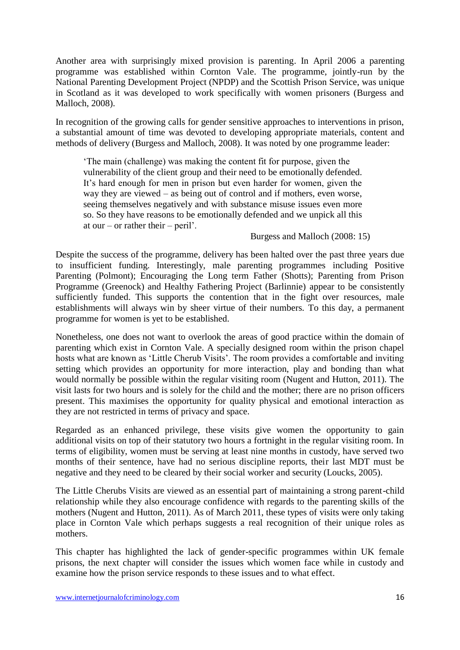Another area with surprisingly mixed provision is parenting. In April 2006 a parenting programme was established within Cornton Vale. The programme, jointly-run by the National Parenting Development Project (NPDP) and the Scottish Prison Service, was unique in Scotland as it was developed to work specifically with women prisoners (Burgess and Malloch, 2008).

In recognition of the growing calls for gender sensitive approaches to interventions in prison, a substantial amount of time was devoted to developing appropriate materials, content and methods of delivery (Burgess and Malloch, 2008). It was noted by one programme leader:

'The main (challenge) was making the content fit for purpose, given the vulnerability of the client group and their need to be emotionally defended. It's hard enough for men in prison but even harder for women, given the way they are viewed – as being out of control and if mothers, even worse, seeing themselves negatively and with substance misuse issues even more so. So they have reasons to be emotionally defended and we unpick all this at our – or rather their – peril'.

#### Burgess and Malloch (2008: 15)

Despite the success of the programme, delivery has been halted over the past three years due to insufficient funding. Interestingly, male parenting programmes including Positive Parenting (Polmont); Encouraging the Long term Father (Shotts); Parenting from Prison Programme (Greenock) and Healthy Fathering Project (Barlinnie) appear to be consistently sufficiently funded. This supports the contention that in the fight over resources, male establishments will always win by sheer virtue of their numbers. To this day, a permanent programme for women is yet to be established.

Nonetheless, one does not want to overlook the areas of good practice within the domain of parenting which exist in Cornton Vale. A specially designed room within the prison chapel hosts what are known as 'Little Cherub Visits'. The room provides a comfortable and inviting setting which provides an opportunity for more interaction, play and bonding than what would normally be possible within the regular visiting room (Nugent and Hutton, 2011). The visit lasts for two hours and is solely for the child and the mother; there are no prison officers present. This maximises the opportunity for quality physical and emotional interaction as they are not restricted in terms of privacy and space.

Regarded as an enhanced privilege, these visits give women the opportunity to gain additional visits on top of their statutory two hours a fortnight in the regular visiting room. In terms of eligibility, women must be serving at least nine months in custody, have served two months of their sentence, have had no serious discipline reports, their last MDT must be negative and they need to be cleared by their social worker and security (Loucks, 2005).

The Little Cherubs Visits are viewed as an essential part of maintaining a strong parent-child relationship while they also encourage confidence with regards to the parenting skills of the mothers (Nugent and Hutton, 2011). As of March 2011, these types of visits were only taking place in Cornton Vale which perhaps suggests a real recognition of their unique roles as mothers.

This chapter has highlighted the lack of gender-specific programmes within UK female prisons, the next chapter will consider the issues which women face while in custody and examine how the prison service responds to these issues and to what effect.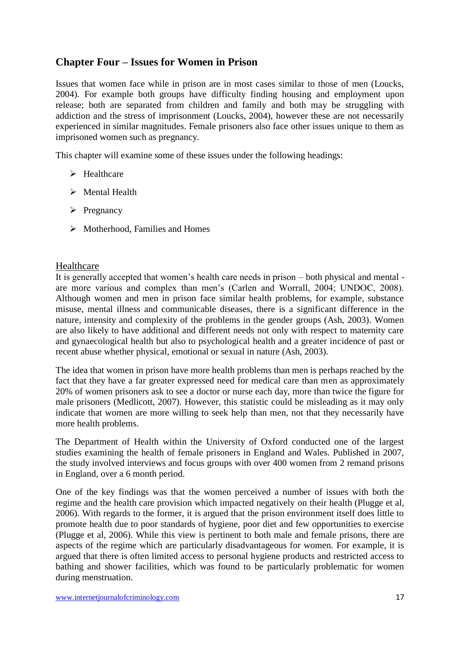## <span id="page-16-0"></span>**Chapter Four – Issues for Women in Prison**

Issues that women face while in prison are in most cases similar to those of men (Loucks, 2004). For example both groups have difficulty finding housing and employment upon release; both are separated from children and family and both may be struggling with addiction and the stress of imprisonment (Loucks, 2004), however these are not necessarily experienced in similar magnitudes. Female prisoners also face other issues unique to them as imprisoned women such as pregnancy.

This chapter will examine some of these issues under the following headings:

- $\blacktriangleright$  Healthcare
- $\triangleright$  Mental Health
- $\triangleright$  Pregnancy
- $\triangleright$  Motherhood, Families and Homes

#### <span id="page-16-1"></span>Healthcare

It is generally accepted that women's health care needs in prison – both physical and mental are more various and complex than men's (Carlen and Worrall, 2004; UNDOC, 2008). Although women and men in prison face similar health problems, for example, substance misuse, mental illness and communicable diseases, there is a significant difference in the nature, intensity and complexity of the problems in the gender groups (Ash, 2003). Women are also likely to have additional and different needs not only with respect to maternity care and gynaecological health but also to psychological health and a greater incidence of past or recent abuse whether physical, emotional or sexual in nature (Ash, 2003).

The idea that women in prison have more health problems than men is perhaps reached by the fact that they have a far greater expressed need for medical care than men as approximately 20% of women prisoners ask to see a doctor or nurse each day, more than twice the figure for male prisoners (Medlicott, 2007). However, this statistic could be misleading as it may only indicate that women are more willing to seek help than men, not that they necessarily have more health problems.

The Department of Health within the University of Oxford conducted one of the largest studies examining the health of female prisoners in England and Wales. Published in 2007, the study involved interviews and focus groups with over 400 women from 2 remand prisons in England, over a 6 month period.

One of the key findings was that the women perceived a number of issues with both the regime and the health care provision which impacted negatively on their health (Plugge et al, 2006). With regards to the former, it is argued that the prison environment itself does little to promote health due to poor standards of hygiene, poor diet and few opportunities to exercise (Plugge et al, 2006). While this view is pertinent to both male and female prisons, there are aspects of the regime which are particularly disadvantageous for women. For example, it is argued that there is often limited access to personal hygiene products and restricted access to bathing and shower facilities, which was found to be particularly problematic for women during menstruation.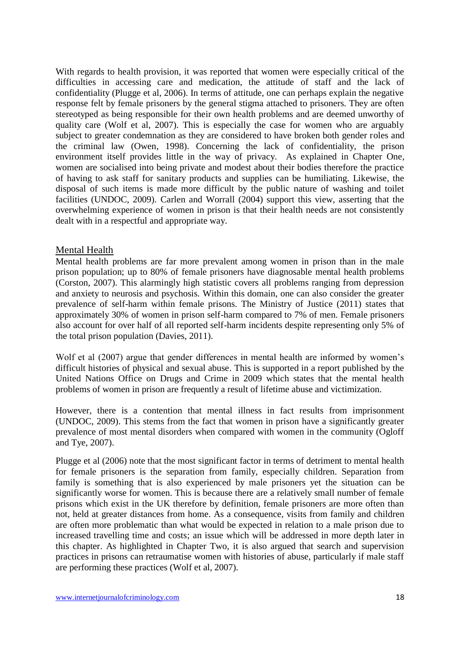With regards to health provision, it was reported that women were especially critical of the difficulties in accessing care and medication, the attitude of staff and the lack of confidentiality (Plugge et al, 2006). In terms of attitude, one can perhaps explain the negative response felt by female prisoners by the general stigma attached to prisoners. They are often stereotyped as being responsible for their own health problems and are deemed unworthy of quality care (Wolf et al, 2007). This is especially the case for women who are arguably subject to greater condemnation as they are considered to have broken both gender roles and the criminal law (Owen, 1998). Concerning the lack of confidentiality, the prison environment itself provides little in the way of privacy. As explained in Chapter One, women are socialised into being private and modest about their bodies therefore the practice of having to ask staff for sanitary products and supplies can be humiliating. Likewise, the disposal of such items is made more difficult by the public nature of washing and toilet facilities (UNDOC, 2009). Carlen and Worrall (2004) support this view, asserting that the overwhelming experience of women in prison is that their health needs are not consistently dealt with in a respectful and appropriate way.

#### <span id="page-17-0"></span>Mental Health

Mental health problems are far more prevalent among women in prison than in the male prison population; up to 80% of female prisoners have diagnosable mental health problems (Corston, 2007). This alarmingly high statistic covers all problems ranging from depression and anxiety to neurosis and psychosis. Within this domain, one can also consider the greater prevalence of self-harm within female prisons. The Ministry of Justice (2011) states that approximately 30% of women in prison self-harm compared to 7% of men. Female prisoners also account for over half of all reported self-harm incidents despite representing only 5% of the total prison population (Davies, 2011).

Wolf et al (2007) argue that gender differences in mental health are informed by women's difficult histories of physical and sexual abuse. This is supported in a report published by the United Nations Office on Drugs and Crime in 2009 which states that the mental health problems of women in prison are frequently a result of lifetime abuse and victimization.

However, there is a contention that mental illness in fact results from imprisonment (UNDOC, 2009). This stems from the fact that women in prison have a significantly greater prevalence of most mental disorders when compared with women in the community (Ogloff and Tye, 2007).

Plugge et al (2006) note that the most significant factor in terms of detriment to mental health for female prisoners is the separation from family, especially children. Separation from family is something that is also experienced by male prisoners yet the situation can be significantly worse for women. This is because there are a relatively small number of female prisons which exist in the UK therefore by definition, female prisoners are more often than not, held at greater distances from home. As a consequence, visits from family and children are often more problematic than what would be expected in relation to a male prison due to increased travelling time and costs; an issue which will be addressed in more depth later in this chapter. As highlighted in Chapter Two, it is also argued that search and supervision practices in prisons can retraumatise women with histories of abuse, particularly if male staff are performing these practices (Wolf et al, 2007).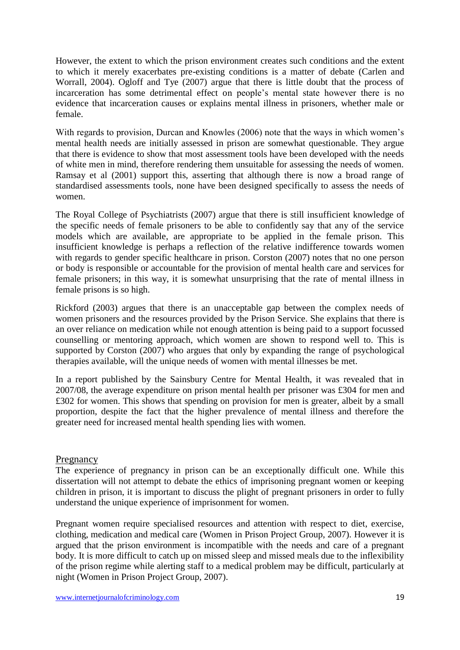However, the extent to which the prison environment creates such conditions and the extent to which it merely exacerbates pre-existing conditions is a matter of debate (Carlen and Worrall, 2004). Ogloff and Tye (2007) argue that there is little doubt that the process of incarceration has some detrimental effect on people's mental state however there is no evidence that incarceration causes or explains mental illness in prisoners, whether male or female.

With regards to provision, Durcan and Knowles (2006) note that the ways in which women's mental health needs are initially assessed in prison are somewhat questionable. They argue that there is evidence to show that most assessment tools have been developed with the needs of white men in mind, therefore rendering them unsuitable for assessing the needs of women. Ramsay et al (2001) support this, asserting that although there is now a broad range of standardised assessments tools, none have been designed specifically to assess the needs of women.

The Royal College of Psychiatrists (2007) argue that there is still insufficient knowledge of the specific needs of female prisoners to be able to confidently say that any of the service models which are available, are appropriate to be applied in the female prison. This insufficient knowledge is perhaps a reflection of the relative indifference towards women with regards to gender specific healthcare in prison. Corston (2007) notes that no one person or body is responsible or accountable for the provision of mental health care and services for female prisoners; in this way, it is somewhat unsurprising that the rate of mental illness in female prisons is so high.

Rickford (2003) argues that there is an unacceptable gap between the complex needs of women prisoners and the resources provided by the Prison Service. She explains that there is an over reliance on medication while not enough attention is being paid to a support focussed counselling or mentoring approach, which women are shown to respond well to. This is supported by Corston (2007) who argues that only by expanding the range of psychological therapies available, will the unique needs of women with mental illnesses be met.

In a report published by the Sainsbury Centre for Mental Health, it was revealed that in 2007/08, the average expenditure on prison mental health per prisoner was £304 for men and £302 for women. This shows that spending on provision for men is greater, albeit by a small proportion, despite the fact that the higher prevalence of mental illness and therefore the greater need for increased mental health spending lies with women.

#### <span id="page-18-0"></span>Pregnancy

The experience of pregnancy in prison can be an exceptionally difficult one. While this dissertation will not attempt to debate the ethics of imprisoning pregnant women or keeping children in prison, it is important to discuss the plight of pregnant prisoners in order to fully understand the unique experience of imprisonment for women.

Pregnant women require specialised resources and attention with respect to diet, exercise, clothing, medication and medical care (Women in Prison Project Group, 2007). However it is argued that the prison environment is incompatible with the needs and care of a pregnant body. It is more difficult to catch up on missed sleep and missed meals due to the inflexibility of the prison regime while alerting staff to a medical problem may be difficult, particularly at night (Women in Prison Project Group, 2007).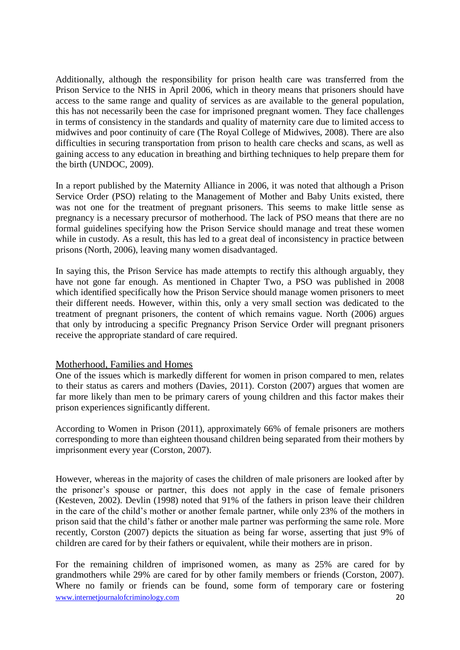Additionally, although the responsibility for prison health care was transferred from the Prison Service to the NHS in April 2006, which in theory means that prisoners should have access to the same range and quality of services as are available to the general population, this has not necessarily been the case for imprisoned pregnant women. They face challenges in terms of consistency in the standards and quality of maternity care due to limited access to midwives and poor continuity of care (The Royal College of Midwives, 2008). There are also difficulties in securing transportation from prison to health care checks and scans, as well as gaining access to any education in breathing and birthing techniques to help prepare them for the birth (UNDOC, 2009).

In a report published by the Maternity Alliance in 2006, it was noted that although a Prison Service Order (PSO) relating to the Management of Mother and Baby Units existed, there was not one for the treatment of pregnant prisoners. This seems to make little sense as pregnancy is a necessary precursor of motherhood. The lack of PSO means that there are no formal guidelines specifying how the Prison Service should manage and treat these women while in custody. As a result, this has led to a great deal of inconsistency in practice between prisons (North, 2006), leaving many women disadvantaged.

In saying this, the Prison Service has made attempts to rectify this although arguably, they have not gone far enough. As mentioned in Chapter Two, a PSO was published in 2008 which identified specifically how the Prison Service should manage women prisoners to meet their different needs. However, within this, only a very small section was dedicated to the treatment of pregnant prisoners, the content of which remains vague. North (2006) argues that only by introducing a specific Pregnancy Prison Service Order will pregnant prisoners receive the appropriate standard of care required.

#### <span id="page-19-0"></span>Motherhood, Families and Homes

One of the issues which is markedly different for women in prison compared to men, relates to their status as carers and mothers (Davies, 2011). Corston (2007) argues that women are far more likely than men to be primary carers of young children and this factor makes their prison experiences significantly different.

According to Women in Prison (2011), approximately 66% of female prisoners are mothers corresponding to more than eighteen thousand children being separated from their mothers by imprisonment every year (Corston, 2007).

However, whereas in the majority of cases the children of male prisoners are looked after by the prisoner's spouse or partner, this does not apply in the case of female prisoners (Kesteven, 2002). Devlin (1998) noted that 91% of the fathers in prison leave their children in the care of the child's mother or another female partner, while only 23% of the mothers in prison said that the child's father or another male partner was performing the same role. More recently, Corston (2007) depicts the situation as being far worse, asserting that just 9% of children are cared for by their fathers or equivalent, while their mothers are in prison.

www.internetjournalofcriminology.com 20 For the remaining children of imprisoned women, as many as 25% are cared for by grandmothers while 29% are cared for by other family members or friends (Corston, 2007). Where no family or friends can be found, some form of temporary care or fostering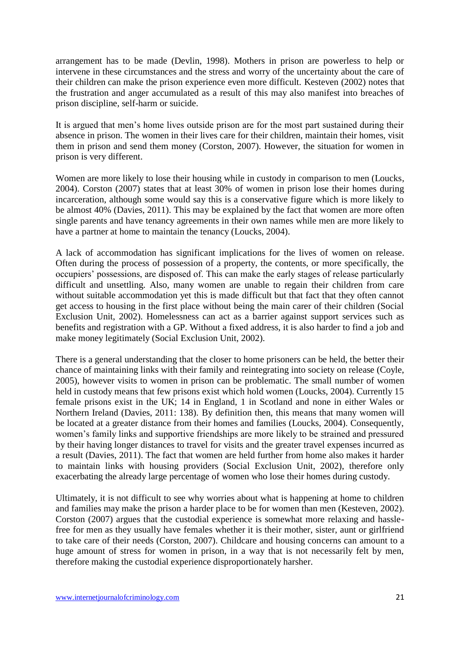arrangement has to be made (Devlin, 1998). Mothers in prison are powerless to help or intervene in these circumstances and the stress and worry of the uncertainty about the care of their children can make the prison experience even more difficult. Kesteven (2002) notes that the frustration and anger accumulated as a result of this may also manifest into breaches of prison discipline, self-harm or suicide.

It is argued that men's home lives outside prison are for the most part sustained during their absence in prison. The women in their lives care for their children, maintain their homes, visit them in prison and send them money (Corston, 2007). However, the situation for women in prison is very different.

Women are more likely to lose their housing while in custody in comparison to men (Loucks, 2004). Corston (2007) states that at least 30% of women in prison lose their homes during incarceration, although some would say this is a conservative figure which is more likely to be almost 40% (Davies, 2011). This may be explained by the fact that women are more often single parents and have tenancy agreements in their own names while men are more likely to have a partner at home to maintain the tenancy (Loucks, 2004).

A lack of accommodation has significant implications for the lives of women on release. Often during the process of possession of a property, the contents, or more specifically, the occupiers' possessions, are disposed of. This can make the early stages of release particularly difficult and unsettling. Also, many women are unable to regain their children from care without suitable accommodation yet this is made difficult but that fact that they often cannot get access to housing in the first place without being the main carer of their children (Social Exclusion Unit, 2002). Homelessness can act as a barrier against support services such as benefits and registration with a GP. Without a fixed address, it is also harder to find a job and make money legitimately (Social Exclusion Unit, 2002).

There is a general understanding that the closer to home prisoners can be held, the better their chance of maintaining links with their family and reintegrating into society on release (Coyle, 2005), however visits to women in prison can be problematic. The small number of women held in custody means that few prisons exist which hold women (Loucks, 2004). Currently 15 female prisons exist in the UK; 14 in England, 1 in Scotland and none in either Wales or Northern Ireland (Davies, 2011: 138). By definition then, this means that many women will be located at a greater distance from their homes and families (Loucks, 2004). Consequently, women's family links and supportive friendships are more likely to be strained and pressured by their having longer distances to travel for visits and the greater travel expenses incurred as a result (Davies, 2011). The fact that women are held further from home also makes it harder to maintain links with housing providers (Social Exclusion Unit, 2002), therefore only exacerbating the already large percentage of women who lose their homes during custody.

Ultimately, it is not difficult to see why worries about what is happening at home to children and families may make the prison a harder place to be for women than men (Kesteven, 2002). Corston (2007) argues that the custodial experience is somewhat more relaxing and hasslefree for men as they usually have females whether it is their mother, sister, aunt or girlfriend to take care of their needs (Corston, 2007). Childcare and housing concerns can amount to a huge amount of stress for women in prison, in a way that is not necessarily felt by men, therefore making the custodial experience disproportionately harsher.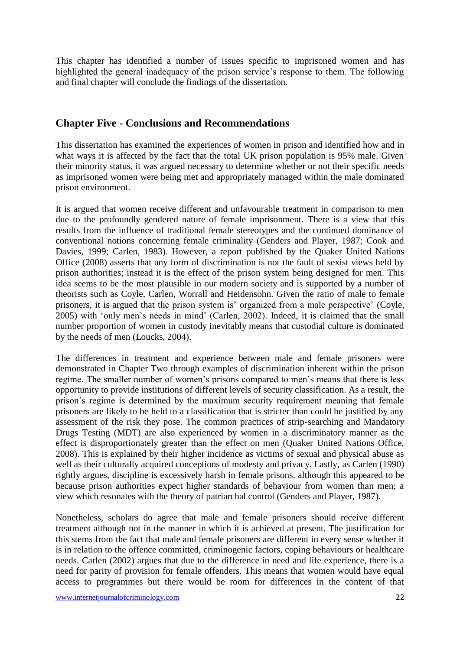This chapter has identified a number of issues specific to imprisoned women and has highlighted the general inadequacy of the prison service's response to them. The following and final chapter will conclude the findings of the dissertation.

### <span id="page-21-0"></span>**Chapter Five - Conclusions and Recommendations**

This dissertation has examined the experiences of women in prison and identified how and in what ways it is affected by the fact that the total UK prison population is 95% male. Given their minority status, it was argued necessary to determine whether or not their specific needs as imprisoned women were being met and appropriately managed within the male dominated prison environment.

It is argued that women receive different and unfavourable treatment in comparison to men due to the profoundly gendered nature of female imprisonment. There is a view that this results from the influence of traditional female stereotypes and the continued dominance of conventional notions concerning female criminality (Genders and Player, 1987; Cook and Davies, 1999; Carlen, 1983). However, a report published by the Quaker United Nations Office (2008) asserts that any form of discrimination is not the fault of sexist views held by prison authorities; instead it is the effect of the prison system being designed for men. This idea seems to be the most plausible in our modern society and is supported by a number of theorists such as Coyle, Carlen, Worrall and Heidensohn. Given the ratio of male to female prisoners, it is argued that the prison system is' organized from a male perspective' (Coyle, 2005) with 'only men's needs in mind' (Carlen, 2002). Indeed, it is claimed that the small number proportion of women in custody inevitably means that custodial culture is dominated by the needs of men (Loucks, 2004).

The differences in treatment and experience between male and female prisoners were demonstrated in Chapter Two through examples of discrimination inherent within the prison regime. The smaller number of women's prisons compared to men's means that there is less opportunity to provide institutions of different levels of security classification. As a result, the prison's regime is determined by the maximum security requirement meaning that female prisoners are likely to be held to a classification that is stricter than could be justified by any assessment of the risk they pose. The common practices of strip-searching and Mandatory Drugs Testing (MDT) are also experienced by women in a discriminatory manner as the effect is disproportionately greater than the effect on men (Quaker United Nations Office, 2008). This is explained by their higher incidence as victims of sexual and physical abuse as well as their culturally acquired conceptions of modesty and privacy. Lastly, as Carlen (1990) rightly argues, discipline is excessively harsh in female prisons, although this appeared to be because prison authorities expect higher standards of behaviour from women than men; a view which resonates with the theory of patriarchal control (Genders and Player, 1987).

Nonetheless, scholars do agree that male and female prisoners should receive different treatment although not in the manner in which it is achieved at present. The justification for this stems from the fact that male and female prisoners are different in every sense whether it is in relation to the offence committed, criminogenic factors, coping behaviours or healthcare needs. Carlen (2002) argues that due to the difference in need and life experience, there is a need for parity of provision for female offenders. This means that women would have equal access to programmes but there would be room for differences in the content of that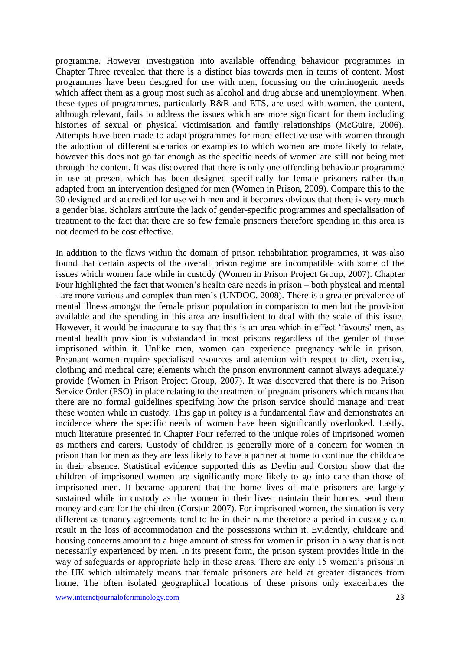programme. However investigation into available offending behaviour programmes in Chapter Three revealed that there is a distinct bias towards men in terms of content. Most programmes have been designed for use with men, focussing on the criminogenic needs which affect them as a group most such as alcohol and drug abuse and unemployment. When these types of programmes, particularly R&R and ETS, are used with women, the content, although relevant, fails to address the issues which are more significant for them including histories of sexual or physical victimisation and family relationships (McGuire, 2006). Attempts have been made to adapt programmes for more effective use with women through the adoption of different scenarios or examples to which women are more likely to relate, however this does not go far enough as the specific needs of women are still not being met through the content. It was discovered that there is only one offending behaviour programme in use at present which has been designed specifically for female prisoners rather than adapted from an intervention designed for men (Women in Prison, 2009). Compare this to the 30 designed and accredited for use with men and it becomes obvious that there is very much a gender bias. Scholars attribute the lack of gender-specific programmes and specialisation of treatment to the fact that there are so few female prisoners therefore spending in this area is not deemed to be cost effective.

In addition to the flaws within the domain of prison rehabilitation programmes, it was also found that certain aspects of the overall prison regime are incompatible with some of the issues which women face while in custody (Women in Prison Project Group, 2007). Chapter Four highlighted the fact that women's health care needs in prison – both physical and mental - are more various and complex than men's (UNDOC, 2008). There is a greater prevalence of mental illness amongst the female prison population in comparison to men but the provision available and the spending in this area are insufficient to deal with the scale of this issue. However, it would be inaccurate to say that this is an area which in effect 'favours' men, as mental health provision is substandard in most prisons regardless of the gender of those imprisoned within it. Unlike men, women can experience pregnancy while in prison. Pregnant women require specialised resources and attention with respect to diet, exercise, clothing and medical care; elements which the prison environment cannot always adequately provide (Women in Prison Project Group, 2007). It was discovered that there is no Prison Service Order (PSO) in place relating to the treatment of pregnant prisoners which means that there are no formal guidelines specifying how the prison service should manage and treat these women while in custody. This gap in policy is a fundamental flaw and demonstrates an incidence where the specific needs of women have been significantly overlooked. Lastly, much literature presented in Chapter Four referred to the unique roles of imprisoned women as mothers and carers. Custody of children is generally more of a concern for women in prison than for men as they are less likely to have a partner at home to continue the childcare in their absence. Statistical evidence supported this as Devlin and Corston show that the children of imprisoned women are significantly more likely to go into care than those of imprisoned men. It became apparent that the home lives of male prisoners are largely sustained while in custody as the women in their lives maintain their homes, send them money and care for the children (Corston 2007). For imprisoned women, the situation is very different as tenancy agreements tend to be in their name therefore a period in custody can result in the loss of accommodation and the possessions within it. Evidently, childcare and housing concerns amount to a huge amount of stress for women in prison in a way that is not necessarily experienced by men. In its present form, the prison system provides little in the way of safeguards or appropriate help in these areas. There are only 15 women's prisons in the UK which ultimately means that female prisoners are held at greater distances from home. The often isolated geographical locations of these prisons only exacerbates the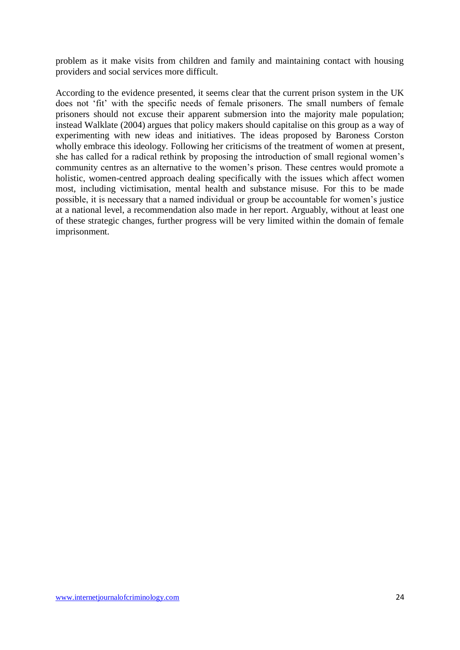problem as it make visits from children and family and maintaining contact with housing providers and social services more difficult.

According to the evidence presented, it seems clear that the current prison system in the UK does not 'fit' with the specific needs of female prisoners. The small numbers of female prisoners should not excuse their apparent submersion into the majority male population; instead Walklate (2004) argues that policy makers should capitalise on this group as a way of experimenting with new ideas and initiatives. The ideas proposed by Baroness Corston wholly embrace this ideology. Following her criticisms of the treatment of women at present, she has called for a radical rethink by proposing the introduction of small regional women's community centres as an alternative to the women's prison. These centres would promote a holistic, women-centred approach dealing specifically with the issues which affect women most, including victimisation, mental health and substance misuse. For this to be made possible, it is necessary that a named individual or group be accountable for women's justice at a national level, a recommendation also made in her report. Arguably, without at least one of these strategic changes, further progress will be very limited within the domain of female imprisonment.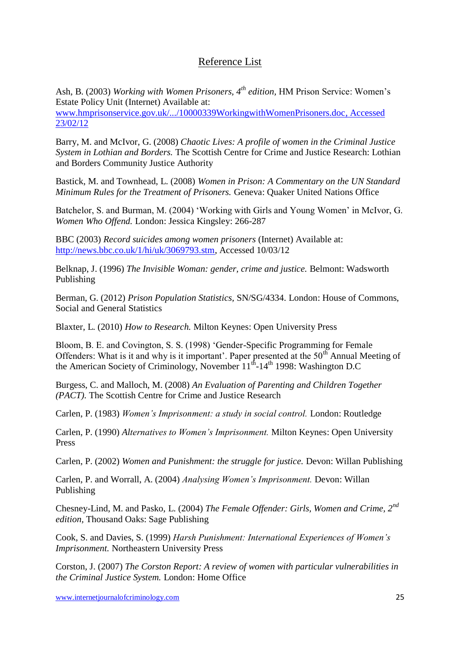## Reference List

<span id="page-24-0"></span>Ash, B. (2003) *Working with Women Prisoners, 4th edition,* HM Prison Service: Women's Estate Policy Unit (Internet) Available at:

[www.hmprisonservice.gov.uk/.../10000339WorkingwithWomenPrisoners.doc,](http://www.hmprisonservice.gov.uk/.../10000339WorkingwithWomenPrisoners.doc) Accessed 23/02/12

Barry, M. and McIvor, G. (2008) *Chaotic Lives: A profile of women in the Criminal Justice System in Lothian and Borders.* The Scottish Centre for Crime and Justice Research: Lothian and Borders Community Justice Authority

Bastick, M. and Townhead, L. (2008) *Women in Prison: A Commentary on the UN Standard Minimum Rules for the Treatment of Prisoners.* Geneva: Quaker United Nations Office

Batchelor, S. and Burman, M. (2004) 'Working with Girls and Young Women' in McIvor, G. *Women Who Offend.* London: Jessica Kingsley: 266-287

BBC (2003) *Record suicides among women prisoners* (Internet) Available at: [http://news.bbc.co.uk/1/hi/uk/3069793.stm,](http://news.bbc.co.uk/1/hi/uk/3069793.stm) Accessed 10/03/12

Belknap, J. (1996) *The Invisible Woman: gender, crime and justice.* Belmont: Wadsworth Publishing

Berman, G. (2012) *Prison Population Statistics,* SN/SG/4334. London: House of Commons, Social and General Statistics

Blaxter, L. (2010) *How to Research.* Milton Keynes: Open University Press

Bloom, B. E. and Covington, S. S. (1998) 'Gender-Specific Programming for Female Offenders: What is it and why is it important'. Paper presented at the 50<sup>th</sup> Annual Meeting of the American Society of Criminology, November  $11<sup>th</sup>$ -14<sup>th</sup> 1998: Washington D.C

Burgess, C. and Malloch, M. (2008) *An Evaluation of Parenting and Children Together (PACT).* The Scottish Centre for Crime and Justice Research

Carlen, P. (1983) *Women's Imprisonment: a study in social control.* London: Routledge

Carlen, P. (1990) *Alternatives to Women's Imprisonment.* Milton Keynes: Open University Press

Carlen, P. (2002) *Women and Punishment: the struggle for justice.* Devon: Willan Publishing

Carlen, P. and Worrall, A. (2004) *Analysing Women's Imprisonment.* Devon: Willan Publishing

Chesney-Lind, M. and Pasko, L. (2004) *The Female Offender: Girls, Women and Crime, 2nd edition,* Thousand Oaks: Sage Publishing

Cook, S. and Davies, S. (1999) *Harsh Punishment: International Experiences of Women's Imprisonment.* Northeastern University Press

Corston, J. (2007) *The Corston Report: A review of women with particular vulnerabilities in the Criminal Justice System.* London: Home Office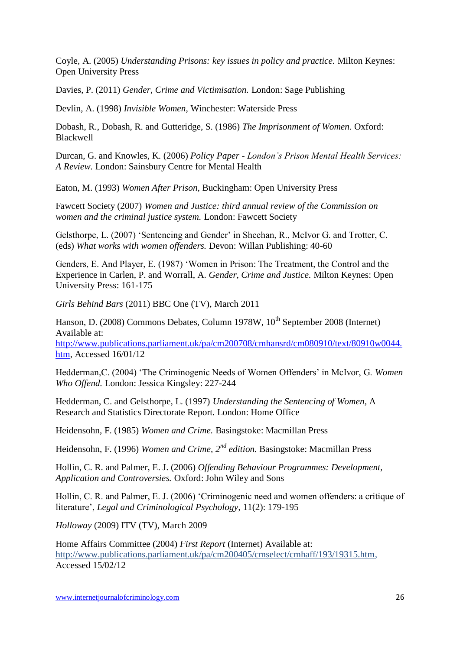Coyle, A. (2005) *Understanding Prisons: key issues in policy and practice.* Milton Keynes: Open University Press

Davies, P. (2011) *Gender, Crime and Victimisation.* London: Sage Publishing

Devlin, A. (1998) *Invisible Women,* Winchester: Waterside Press

Dobash, R., Dobash, R. and Gutteridge, S. (1986) *The Imprisonment of Women.* Oxford: Blackwell

Durcan, G. and Knowles, K. (2006) *Policy Paper - London's Prison Mental Health Services: A Review.* London: Sainsbury Centre for Mental Health

Eaton, M. (1993) *Women After Prison,* Buckingham: Open University Press

Fawcett Society (2007) *Women and Justice: third annual review of the Commission on women and the criminal justice system.* London: Fawcett Society

Gelsthorpe, L. (2007) 'Sentencing and Gender' in Sheehan, R., McIvor G. and Trotter, C. (eds) *What works with women offenders.* Devon: Willan Publishing: 40-60

Genders, E. And Player, E. (1987) 'Women in Prison: The Treatment, the Control and the Experience in Carlen, P. and Worrall, A. *Gender, Crime and Justice.* Milton Keynes: Open University Press: 161-175

*Girls Behind Bars* (2011) BBC One (TV), March 2011

Hanson, D. (2008) Commons Debates, Column 1978W, 10<sup>th</sup> September 2008 (Internet) Available at:

[http://www.publications.parliament.uk/pa/cm200708/cmhansrd/cm080910/text/80910w0044.](http://www.publications.parliament.uk/pa/cm200708/cmhansrd/cm080910/text/80910w0044.htm) [htm,](http://www.publications.parliament.uk/pa/cm200708/cmhansrd/cm080910/text/80910w0044.htm) Accessed 16/01/12

Hedderman,C. (2004) 'The Criminogenic Needs of Women Offenders' in McIvor, G. *Women Who Offend.* London: Jessica Kingsley: 227-244

Hedderman, C. and Gelsthorpe, L. (1997) *Understanding the Sentencing of Women,* A Research and Statistics Directorate Report. London: Home Office

Heidensohn, F. (1985) *Women and Crime.* Basingstoke: Macmillan Press

Heidensohn, F. (1996) *Women and Crime, 2nd edition.* Basingstoke: Macmillan Press

Hollin, C. R. and Palmer, E. J. (2006) *Offending Behaviour Programmes: Development, Application and Controversies.* Oxford: John Wiley and Sons

Hollin, C. R. and Palmer, E. J. (2006) 'Criminogenic need and women offenders: a critique of literature', *Legal and Criminological Psychology,* 11(2): 179-195

*Holloway* (2009) ITV (TV), March 2009

Home Affairs Committee (2004) *First Report* (Internet) Available at: [http://www.publications.parliament.uk/pa/cm200405/cmselect/cmhaff/193/19315.htm,](http://www.publications.parliament.uk/pa/cm200405/cmselect/cmhaff/193/19315.htm) Accessed 15/02/12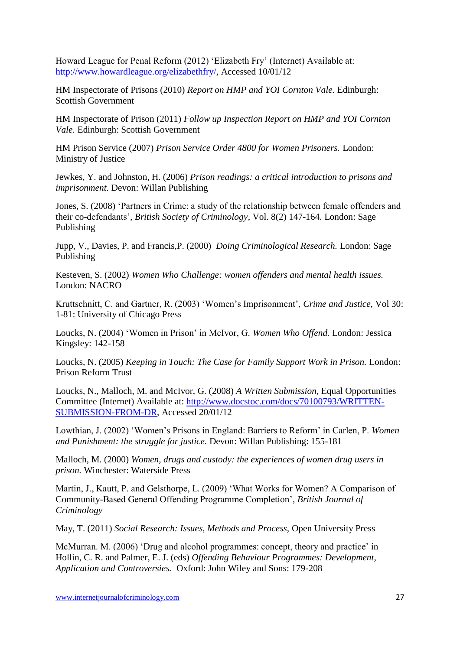Howard League for Penal Reform (2012) 'Elizabeth Fry' (Internet) Available at: [http://www.howardleague.org/elizabethfry/,](http://www.howardleague.org/elizabethfry/) Accessed 10/01/12

HM Inspectorate of Prisons (2010) *Report on HMP and YOI Cornton Vale.* Edinburgh: Scottish Government

HM Inspectorate of Prison (2011) *Follow up Inspection Report on HMP and YOI Cornton Vale.* Edinburgh: Scottish Government

HM Prison Service (2007) *Prison Service Order 4800 for Women Prisoners.* London: Ministry of Justice

Jewkes, Y. and Johnston, H. (2006) *Prison readings: a critical introduction to prisons and imprisonment.* Devon: Willan Publishing

Jones, S. (2008) 'Partners in Crime: a study of the relationship between female offenders and their co-defendants'*, British Society of Criminology*, Vol. 8(2) 147-164. London: Sage Publishing

Jupp, V., Davies, P. and Francis,P. (2000) *Doing Criminological Research.* London: Sage Publishing

Kesteven, S. (2002) *Women Who Challenge: women offenders and mental health issues.*  London: NACRO

Kruttschnitt, C. and Gartner, R. (2003) 'Women's Imprisonment', *Crime and Justice,* Vol 30: 1-81: University of Chicago Press

Loucks, N. (2004) 'Women in Prison' in McIvor, G. *Women Who Offend.* London: Jessica Kingsley: 142-158

Loucks, N. (2005) *Keeping in Touch: The Case for Family Support Work in Prison.* London: Prison Reform Trust

Loucks, N., Malloch, M. and McIvor, G. (2008) *A Written Submission,* Equal Opportunities Committee (Internet) Available at: [http://www.docstoc.com/docs/70100793/WRITTEN-](http://www.docstoc.com/docs/70100793/WRITTEN-SUBMISSION-FROM-DR)[SUBMISSION-FROM-DR,](http://www.docstoc.com/docs/70100793/WRITTEN-SUBMISSION-FROM-DR) Accessed 20/01/12

Lowthian, J. (2002) 'Women's Prisons in England: Barriers to Reform' in Carlen, P. *Women and Punishment: the struggle for justice.* Devon: Willan Publishing: 155-181

Malloch, M. (2000) *Women, drugs and custody: the experiences of women drug users in prison.* Winchester: Waterside Press

Martin, J., Kautt, P. and Gelsthorpe, L. (2009) 'What Works for Women? A Comparison of Community-Based General Offending Programme Completion'*, British Journal of Criminology*

May, T. (2011) *Social Research: Issues, Methods and Process,* Open University Press

McMurran. M. (2006) 'Drug and alcohol programmes: concept, theory and practice' in Hollin, C. R. and Palmer, E. J. (eds) *Offending Behaviour Programmes: Development, Application and Controversies.* Oxford: John Wiley and Sons: 179-208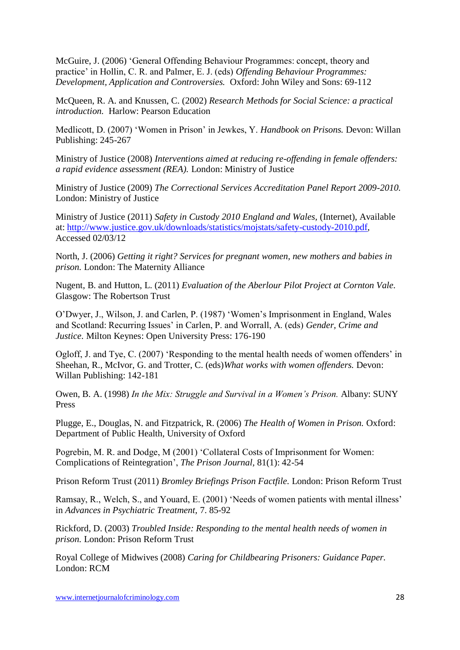McGuire, J. (2006) 'General Offending Behaviour Programmes: concept, theory and practice' in Hollin, C. R. and Palmer, E. J. (eds) *Offending Behaviour Programmes: Development, Application and Controversies.* Oxford: John Wiley and Sons: 69-112

McQueen, R. A. and Knussen, C. (2002) *Research Methods for Social Science: a practical introduction.* Harlow: Pearson Education

Medlicott, D. (2007) 'Women in Prison' in Jewkes, Y. *Handbook on Prisons.* Devon: Willan Publishing: 245-267

Ministry of Justice (2008) *Interventions aimed at reducing re-offending in female offenders: a rapid evidence assessment (REA).* London: Ministry of Justice

Ministry of Justice (2009) *The Correctional Services Accreditation Panel Report 2009-2010.*  London: Ministry of Justice

Ministry of Justice (2011) *Safety in Custody 2010 England and Wales,* (Internet), Available at: [http://www.justice.gov.uk/downloads/statistics/mojstats/safety-custody-2010.pdf,](http://www.justice.gov.uk/downloads/statistics/mojstats/safety-custody-2010.pdf) Accessed 02/03/12

North, J. (2006) *Getting it right? Services for pregnant women, new mothers and babies in prison.* London: The Maternity Alliance

Nugent, B. and Hutton, L. (2011) *Evaluation of the Aberlour Pilot Project at Cornton Vale.*  Glasgow: The Robertson Trust

O'Dwyer, J., Wilson, J. and Carlen, P. (1987) 'Women's Imprisonment in England, Wales and Scotland: Recurring Issues' in Carlen, P. and Worrall, A. (eds) *Gender, Crime and Justice.* Milton Keynes: Open University Press: 176-190

Ogloff, J. and Tye, C. (2007) 'Responding to the mental health needs of women offenders' in Sheehan, R., McIvor, G. and Trotter, C. (eds)*What works with women offenders.* Devon: Willan Publishing: 142-181

Owen, B. A. (1998) *In the Mix: Struggle and Survival in a Women's Prison.* Albany: SUNY Press

Plugge, E., Douglas, N. and Fitzpatrick, R. (2006) *The Health of Women in Prison.* Oxford: Department of Public Health, University of Oxford

Pogrebin, M. R. and Dodge, M (2001) 'Collateral Costs of Imprisonment for Women: Complications of Reintegration', *The Prison Journal,* 81(1): 42-54

Prison Reform Trust (2011) *Bromley Briefings Prison Factfile.* London: Prison Reform Trust

Ramsay, R., Welch, S., and Youard, E. (2001) 'Needs of women patients with mental illness' in *Advances in Psychiatric Treatment,* 7. 85-92

Rickford, D. (2003) *Troubled Inside: Responding to the mental health needs of women in prison.* London: Prison Reform Trust

Royal College of Midwives (2008) *Caring for Childbearing Prisoners: Guidance Paper.*  London: RCM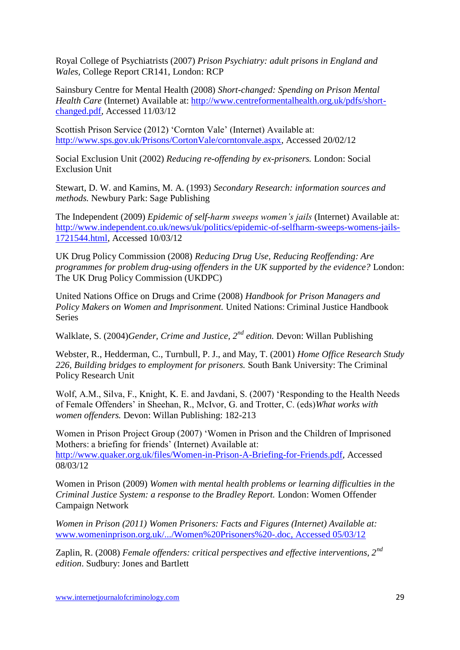Royal College of Psychiatrists (2007) *Prison Psychiatry: adult prisons in England and Wales,* College Report CR141, London: RCP

Sainsbury Centre for Mental Health (2008) *Short-changed: Spending on Prison Mental Health Care* (Internet) Available at: [http://www.centreformentalhealth.org.uk/pdfs/short](http://www.centreformentalhealth.org.uk/pdfs/short-changed.pdf)[changed.pdf,](http://www.centreformentalhealth.org.uk/pdfs/short-changed.pdf) Accessed 11/03/12

Scottish Prison Service (2012) 'Cornton Vale' (Internet) Available at: [http://www.sps.gov.uk/Prisons/CortonVale/corntonvale.aspx,](http://www.sps.gov.uk/Prisons/CortonVale/corntonvale.aspx) Accessed 20/02/12

Social Exclusion Unit (2002) *Reducing re-offending by ex-prisoners.* London: Social Exclusion Unit

Stewart, D. W. and Kamins, M. A. (1993) *Secondary Research: information sources and methods.* Newbury Park: Sage Publishing

The Independent (2009) *Epidemic of self-harm sweeps women's jails* (Internet) Available at: [http://www.independent.co.uk/news/uk/politics/epidemic-of-selfharm-sweeps-womens-jails-](http://www.independent.co.uk/news/uk/politics/epidemic-of-selfharm-sweeps-womens-jails-1721544.html)[1721544.html,](http://www.independent.co.uk/news/uk/politics/epidemic-of-selfharm-sweeps-womens-jails-1721544.html) Accessed 10/03/12

UK Drug Policy Commission (2008) *Reducing Drug Use, Reducing Reoffending: Are programmes for problem drug-using offenders in the UK supported by the evidence?* London: The UK Drug Policy Commission (UKDPC)

United Nations Office on Drugs and Crime (2008) *Handbook for Prison Managers and Policy Makers on Women and Imprisonment.* United Nations: Criminal Justice Handbook Series

Walklate, S. (2004)*Gender, Crime and Justice, 2nd edition.* Devon: Willan Publishing

Webster, R., Hedderman, C., Turnbull, P. J., and May, T. (2001) *Home Office Research Study 226, Building bridges to employment for prisoners.* South Bank University: The Criminal Policy Research Unit

Wolf, A.M., Silva, F., Knight, K. E. and Javdani, S. (2007) 'Responding to the Health Needs of Female Offenders' in Sheehan, R., McIvor, G. and Trotter, C. (eds)*What works with women offenders.* Devon: Willan Publishing: 182-213

Women in Prison Project Group (2007) 'Women in Prison and the Children of Imprisoned Mothers: a briefing for friends' (Internet) Available at: [http://www.quaker.org.uk/files/Women-in-Prison-A-Briefing-for-Friends.pdf,](http://www.quaker.org.uk/files/Women-in-Prison-A-Briefing-for-Friends.pdf) Accessed 08/03/12

Women in Prison (2009) *Women with mental health problems or learning difficulties in the Criminal Justice System: a response to the Bradley Report.* London: Women Offender Campaign Network

*Women in Prison (2011) Women Prisoners: Facts and Figures (Internet) Available at:*  [www.womeninprison.org.uk/.../Women%20Prisoners%20-.doc,](http://www.womeninprison.org.uk/.../Women%20Prisoners%20-.doc) Accessed 05/03/12

Zaplin, R. (2008) *Female offenders: critical perspectives and effective interventions, 2nd edition*. Sudbury: Jones and Bartlett